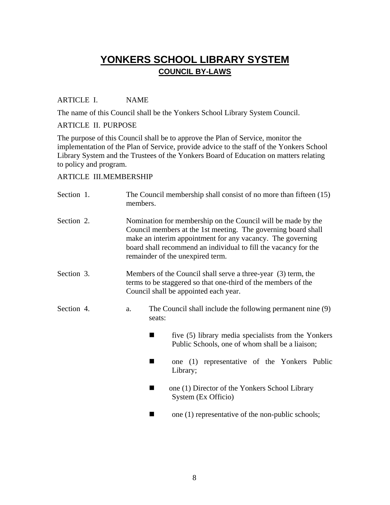# **YONKERS SCHOOL LIBRARY SYSTEM COUNCIL BY-LAWS**

# ARTICLE I. NAME

The name of this Council shall be the Yonkers School Library System Council.

### ARTICLE II. PURPOSE

The purpose of this Council shall be to approve the Plan of Service, monitor the implementation of the Plan of Service, provide advice to the staff of the Yonkers School Library System and the Trustees of the Yonkers Board of Education on matters relating to policy and program.

# ARTICLE III. MEMBERSHIP

| Section 1. | members.                                                                                                                                                                                                                                                                                           |        | The Council membership shall consist of no more than fifteen (15)                                      |  |
|------------|----------------------------------------------------------------------------------------------------------------------------------------------------------------------------------------------------------------------------------------------------------------------------------------------------|--------|--------------------------------------------------------------------------------------------------------|--|
| Section 2. | Nomination for membership on the Council will be made by the<br>Council members at the 1st meeting. The governing board shall<br>make an interim appointment for any vacancy. The governing<br>board shall recommend an individual to fill the vacancy for the<br>remainder of the unexpired term. |        |                                                                                                        |  |
| Section 3. | Members of the Council shall serve a three-year (3) term, the<br>terms to be staggered so that one-third of the members of the<br>Council shall be appointed each year.                                                                                                                            |        |                                                                                                        |  |
| Section 4. | a.                                                                                                                                                                                                                                                                                                 | seats: | The Council shall include the following permanent nine (9)                                             |  |
|            |                                                                                                                                                                                                                                                                                                    | ٠      | five (5) library media specialists from the Yonkers<br>Public Schools, one of whom shall be a liaison; |  |
|            |                                                                                                                                                                                                                                                                                                    |        | one (1) representative of the Yonkers Public<br>Library;                                               |  |
|            |                                                                                                                                                                                                                                                                                                    | ٠      | one (1) Director of the Yonkers School Library<br>System (Ex Officio)                                  |  |
|            |                                                                                                                                                                                                                                                                                                    |        | one (1) representative of the non-public schools;                                                      |  |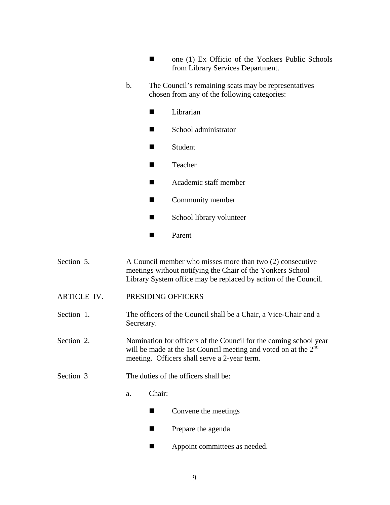- $\blacksquare$  one (1) Ex Officio of the Yonkers Public Schools from Library Services Department.
- b. The Council's remaining seats may be representatives chosen from any of the following categories:
	- **Librarian**
	- School administrator
	- Student
	- Teacher
	- Academic staff member
	- Community member
	- School library volunteer
	- **Parent**
- Section 5. A Council member who misses more than two (2) consecutive meetings without notifying the Chair of the Yonkers School Library System office may be replaced by action of the Council.
- ARTICLE IV. PRESIDING OFFICERS
- Section 1. The officers of the Council shall be a Chair, a Vice-Chair and a Secretary.
- Section 2. Nomination for officers of the Council for the coming school year will be made at the 1st Council meeting and voted on at the  $2<sup>nd</sup>$ meeting. Officers shall serve a 2-year term.
- Section 3 The duties of the officers shall be:
	- a. Chair:
		- $\blacksquare$  Convene the meetings
		- **Prepare the agenda**
		- **Appoint committees as needed.**